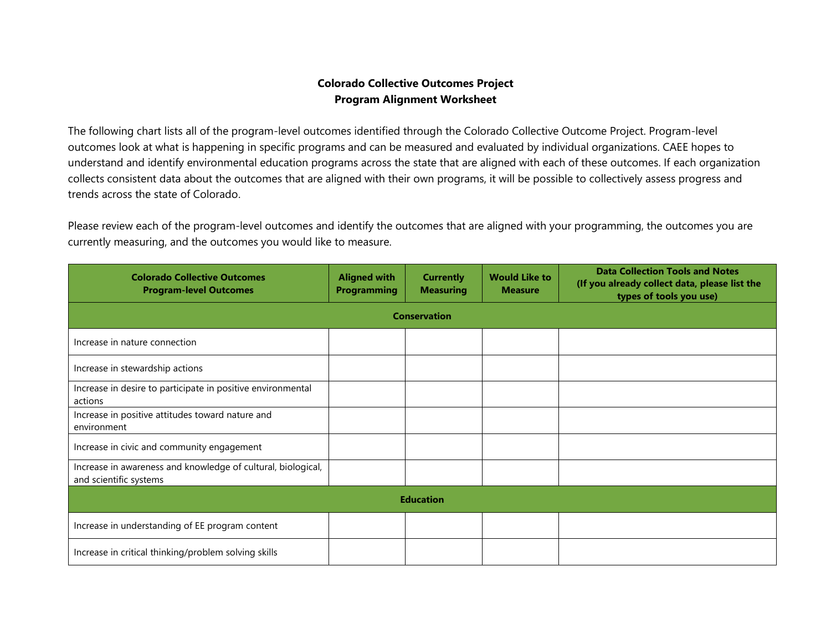## **Colorado Collective Outcomes Project Program Alignment Worksheet**

The following chart lists all of the program-level outcomes identified through the Colorado Collective Outcome Project. Program-level outcomes look at what is happening in specific programs and can be measured and evaluated by individual organizations. CAEE hopes to understand and identify environmental education programs across the state that are aligned with each of these outcomes. If each organization collects consistent data about the outcomes that are aligned with their own programs, it will be possible to collectively assess progress and trends across the state of Colorado.

Please review each of the program-level outcomes and identify the outcomes that are aligned with your programming, the outcomes you are currently measuring, and the outcomes you would like to measure.

| <b>Colorado Collective Outcomes</b><br><b>Program-level Outcomes</b>                   | <b>Aligned with</b><br><b>Programming</b> | <b>Currently</b><br><b>Measuring</b> | <b>Would Like to</b><br><b>Measure</b> | <b>Data Collection Tools and Notes</b><br>(If you already collect data, please list the<br>types of tools you use) |  |  |  |  |
|----------------------------------------------------------------------------------------|-------------------------------------------|--------------------------------------|----------------------------------------|--------------------------------------------------------------------------------------------------------------------|--|--|--|--|
| <b>Conservation</b>                                                                    |                                           |                                      |                                        |                                                                                                                    |  |  |  |  |
| Increase in nature connection                                                          |                                           |                                      |                                        |                                                                                                                    |  |  |  |  |
| Increase in stewardship actions                                                        |                                           |                                      |                                        |                                                                                                                    |  |  |  |  |
| Increase in desire to participate in positive environmental<br>actions                 |                                           |                                      |                                        |                                                                                                                    |  |  |  |  |
| Increase in positive attitudes toward nature and<br>environment                        |                                           |                                      |                                        |                                                                                                                    |  |  |  |  |
| Increase in civic and community engagement                                             |                                           |                                      |                                        |                                                                                                                    |  |  |  |  |
| Increase in awareness and knowledge of cultural, biological,<br>and scientific systems |                                           |                                      |                                        |                                                                                                                    |  |  |  |  |
| <b>Education</b>                                                                       |                                           |                                      |                                        |                                                                                                                    |  |  |  |  |
| Increase in understanding of EE program content                                        |                                           |                                      |                                        |                                                                                                                    |  |  |  |  |
| Increase in critical thinking/problem solving skills                                   |                                           |                                      |                                        |                                                                                                                    |  |  |  |  |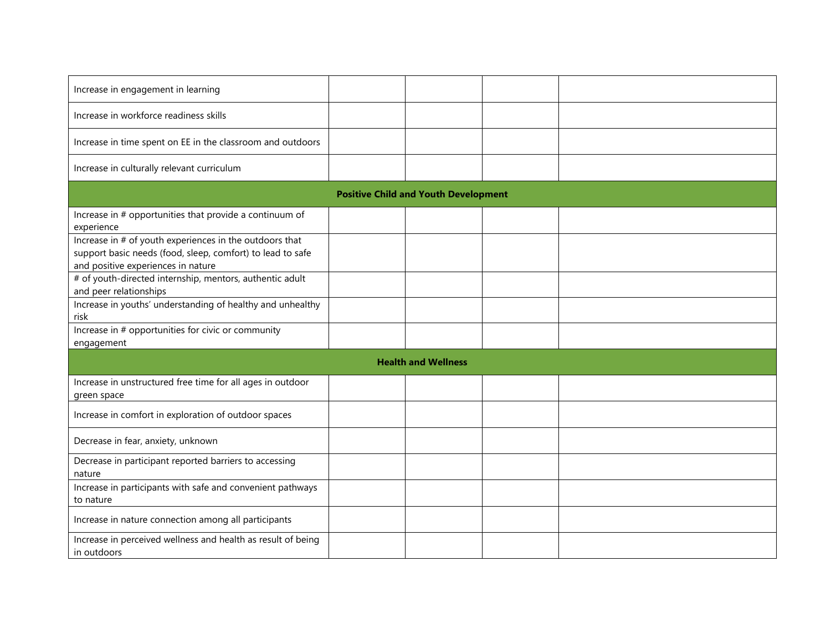| Increase in engagement in learning                                                                                                                          |  |  |  |  |  |  |
|-------------------------------------------------------------------------------------------------------------------------------------------------------------|--|--|--|--|--|--|
| Increase in workforce readiness skills                                                                                                                      |  |  |  |  |  |  |
| Increase in time spent on EE in the classroom and outdoors                                                                                                  |  |  |  |  |  |  |
| Increase in culturally relevant curriculum                                                                                                                  |  |  |  |  |  |  |
| <b>Positive Child and Youth Development</b>                                                                                                                 |  |  |  |  |  |  |
| Increase in # opportunities that provide a continuum of<br>experience                                                                                       |  |  |  |  |  |  |
| Increase in # of youth experiences in the outdoors that<br>support basic needs (food, sleep, comfort) to lead to safe<br>and positive experiences in nature |  |  |  |  |  |  |
| # of youth-directed internship, mentors, authentic adult<br>and peer relationships                                                                          |  |  |  |  |  |  |
| Increase in youths' understanding of healthy and unhealthy<br>risk                                                                                          |  |  |  |  |  |  |
| Increase in # opportunities for civic or community<br>engagement                                                                                            |  |  |  |  |  |  |
| <b>Health and Wellness</b>                                                                                                                                  |  |  |  |  |  |  |
| Increase in unstructured free time for all ages in outdoor<br>green space                                                                                   |  |  |  |  |  |  |
| Increase in comfort in exploration of outdoor spaces                                                                                                        |  |  |  |  |  |  |
| Decrease in fear, anxiety, unknown                                                                                                                          |  |  |  |  |  |  |
| Decrease in participant reported barriers to accessing<br>nature                                                                                            |  |  |  |  |  |  |
| Increase in participants with safe and convenient pathways<br>to nature                                                                                     |  |  |  |  |  |  |
| Increase in nature connection among all participants                                                                                                        |  |  |  |  |  |  |
| Increase in perceived wellness and health as result of being<br>in outdoors                                                                                 |  |  |  |  |  |  |